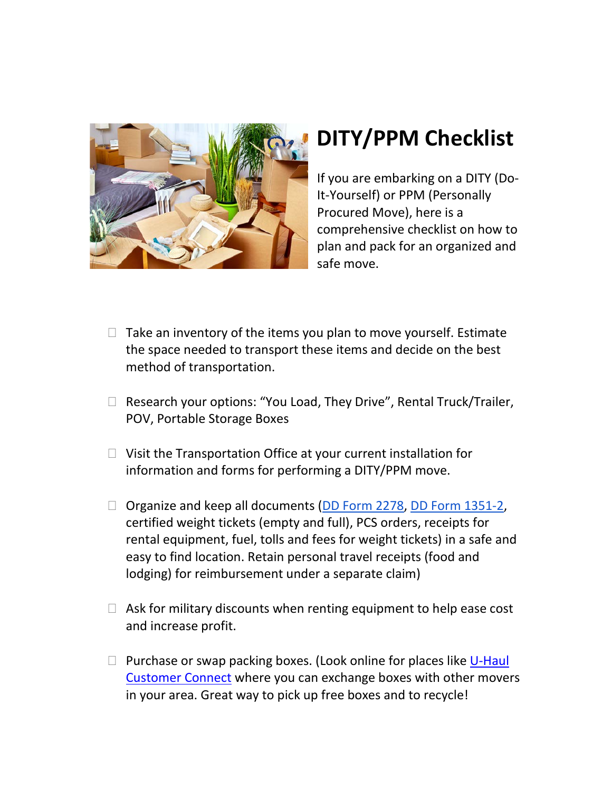

## **DITY/PPM Checklist**

If you are embarking on a DITY (Do-It-Yourself) or PPM (Personally Procured Move), here is a comprehensive checklist on how to plan and pack for an organized and safe move.

- $\Box$  Take an inventory of the items you plan to move yourself. Estimate the space needed to transport these items and decide on the best method of transportation.
- $\Box$  Research your options: "You Load, They Drive", Rental Truck/Trailer, POV, Portable Storage Boxes
- $\Box$  Visit the Transportation Office at your current installation for information and forms for performing a DITY/PPM move.
- $\Box$  Organize and keep all documents [\(DD Form 2278,](http://www.dtic.mil/whs/directives/infomgt/forms/eforms/dd2278.pdf) [DD Form 1351-2,](http://www.dtic.mil/whs/directives/infomgt/forms/eforms/dd1351-2.pdf) certified weight tickets (empty and full), PCS orders, receipts for rental equipment, fuel, tolls and fees for weight tickets) in a safe and easy to find location. Retain personal travel receipts (food and lodging) for reimbursement under a separate claim)
- $\Box$  Ask for military discounts when renting equipment to help ease cost and increase profit.
- $\Box$  Purchase or swap packing boxes. (Look online for places like U-Haul [Customer Connect](http://www.uhaul.com/Exchange/) where you can exchange boxes with other movers in your area. Great way to pick up free boxes and to recycle!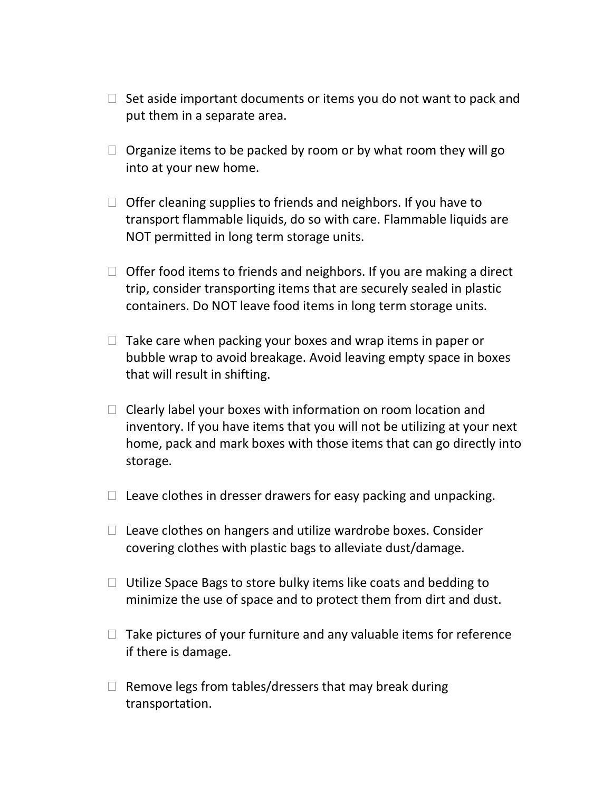- $\Box$  Set aside important documents or items you do not want to pack and put them in a separate area.
- $\Box$  Organize items to be packed by room or by what room they will go into at your new home.
- $\Box$  Offer cleaning supplies to friends and neighbors. If you have to transport flammable liquids, do so with care. Flammable liquids are NOT permitted in long term storage units.
- $\Box$  Offer food items to friends and neighbors. If you are making a direct trip, consider transporting items that are securely sealed in plastic containers. Do NOT leave food items in long term storage units.
- $\Box$  Take care when packing your boxes and wrap items in paper or bubble wrap to avoid breakage. Avoid leaving empty space in boxes that will result in shifting.
- $\Box$  Clearly label your boxes with information on room location and inventory. If you have items that you will not be utilizing at your next home, pack and mark boxes with those items that can go directly into storage.
- $\Box$  Leave clothes in dresser drawers for easy packing and unpacking.
- $\Box$  Leave clothes on hangers and utilize wardrobe boxes. Consider covering clothes with plastic bags to alleviate dust/damage.
- $\Box$  Utilize Space Bags to store bulky items like coats and bedding to minimize the use of space and to protect them from dirt and dust.
- $\Box$  Take pictures of your furniture and any valuable items for reference if there is damage.
- $\Box$  Remove legs from tables/dressers that may break during transportation.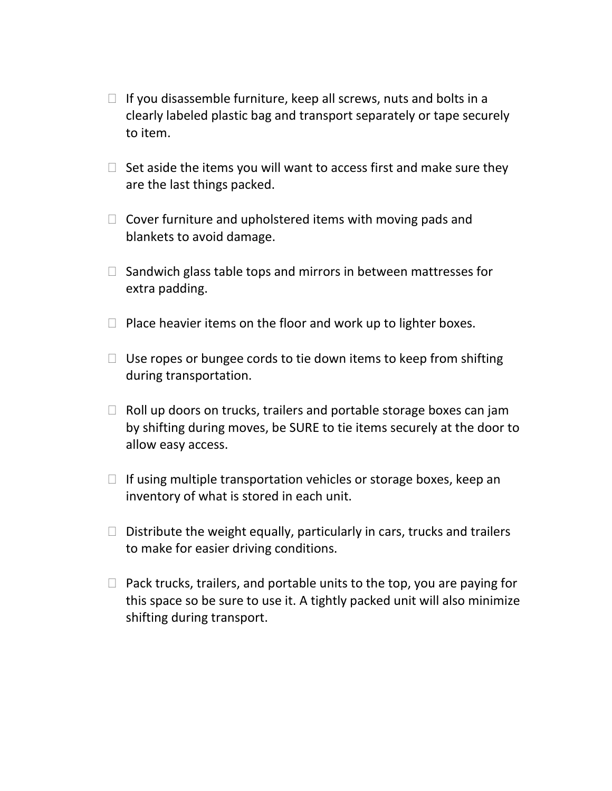- $\Box$  If you disassemble furniture, keep all screws, nuts and bolts in a clearly labeled plastic bag and transport separately or tape securely to item.
- $\Box$  Set aside the items you will want to access first and make sure they are the last things packed.
- $\Box$  Cover furniture and upholstered items with moving pads and blankets to avoid damage.
- $\Box$  Sandwich glass table tops and mirrors in between mattresses for extra padding.
- $\Box$  Place heavier items on the floor and work up to lighter boxes.
- $\Box$  Use ropes or bungee cords to tie down items to keep from shifting during transportation.
- $\Box$  Roll up doors on trucks, trailers and portable storage boxes can jam by shifting during moves, be SURE to tie items securely at the door to allow easy access.
- $\Box$  If using multiple transportation vehicles or storage boxes, keep an inventory of what is stored in each unit.
- $\Box$  Distribute the weight equally, particularly in cars, trucks and trailers to make for easier driving conditions.
- $\Box$  Pack trucks, trailers, and portable units to the top, you are paying for this space so be sure to use it. A tightly packed unit will also minimize shifting during transport.